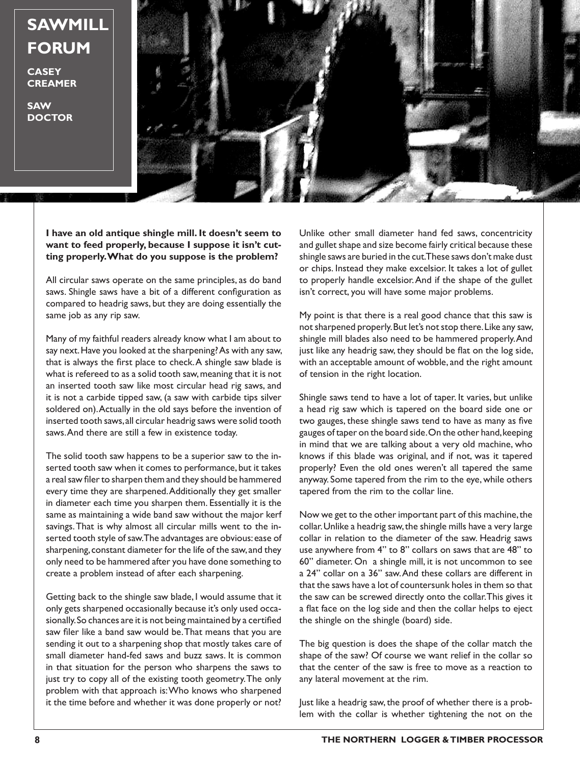**SAWMILL FORUM**

**CASEY CREAMER**

**SAW DOCTOR**



**I have an old antique shingle mill. It doesn't seem to want to feed properly, because I suppose it isn't cutting properly. What do you suppose is the problem?**

All circular saws operate on the same principles, as do band saws. Shingle saws have a bit of a different configuration as compared to headrig saws, but they are doing essentially the same job as any rip saw.

Many of my faithful readers already know what I am about to say next. Have you looked at the sharpening? As with any saw, that is always the first place to check. A shingle saw blade is what is refereed to as a solid tooth saw, meaning that it is not an inserted tooth saw like most circular head rig saws, and it is not a carbide tipped saw, (a saw with carbide tips silver soldered on). Actually in the old says before the invention of inserted tooth saws, all circular headrig saws were solid tooth saws. And there are still a few in existence today.

The solid tooth saw happens to be a superior saw to the inserted tooth saw when it comes to performance, but it takes a real saw filer to sharpen them and they should be hammered every time they are sharpened. Additionally they get smaller in diameter each time you sharpen them. Essentially it is the same as maintaining a wide band saw without the major kerf savings. That is why almost all circular mills went to the inserted tooth style of saw. The advantages are obvious: ease of sharpening, constant diameter for the life of the saw, and they only need to be hammered after you have done something to create a problem instead of after each sharpening.

Getting back to the shingle saw blade, I would assume that it only gets sharpened occasionally because it's only used occasionally. So chances are it is not being maintained by a certified saw filer like a band saw would be. That means that you are sending it out to a sharpening shop that mostly takes care of small diameter hand-fed saws and buzz saws. It is common in that situation for the person who sharpens the saws to just try to copy all of the existing tooth geometry. The only problem with that approach is: Who knows who sharpened it the time before and whether it was done properly or not?

Unlike other small diameter hand fed saws, concentricity and gullet shape and size become fairly critical because these shingle saws are buried in the cut. These saws don't make dust or chips. Instead they make excelsior. It takes a lot of gullet to properly handle excelsior. And if the shape of the gullet isn't correct, you will have some major problems.

My point is that there is a real good chance that this saw is not sharpened properly. But let's not stop there. Like any saw, shingle mill blades also need to be hammered properly. And just like any headrig saw, they should be flat on the log side, with an acceptable amount of wobble, and the right amount of tension in the right location.

Shingle saws tend to have a lot of taper. It varies, but unlike a head rig saw which is tapered on the board side one or two gauges, these shingle saws tend to have as many as five gauges of taper on the board side. On the other hand, keeping in mind that we are talking about a very old machine, who knows if this blade was original, and if not, was it tapered properly? Even the old ones weren't all tapered the same anyway. Some tapered from the rim to the eye, while others tapered from the rim to the collar line.

Now we get to the other important part of this machine, the collar. Unlike a headrig saw, the shingle mills have a very large collar in relation to the diameter of the saw. Headrig saws use anywhere from 4" to 8" collars on saws that are 48" to 60" diameter. On a shingle mill, it is not uncommon to see a 24" collar on a 36" saw. And these collars are different in that the saws have a lot of countersunk holes in them so that the saw can be screwed directly onto the collar. This gives it a flat face on the log side and then the collar helps to eject the shingle on the shingle (board) side.

The big question is does the shape of the collar match the shape of the saw? Of course we want relief in the collar so that the center of the saw is free to move as a reaction to any lateral movement at the rim.

Just like a headrig saw, the proof of whether there is a problem with the collar is whether tightening the not on the